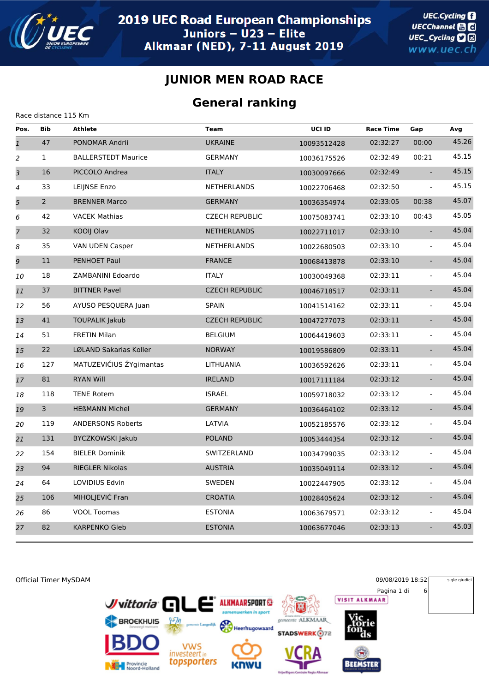

Race distance 115 Km

#### **JUNIOR MEN ROAD RACE**

#### **General ranking**

| Pos.           | <b>Bib</b>     | <b>Athlete</b>             | <b>Team</b>           | UCI ID      | <b>Race Time</b> | Gap                         | Avg   |
|----------------|----------------|----------------------------|-----------------------|-------------|------------------|-----------------------------|-------|
| $\overline{1}$ | 47             | PONOMAR Andrii             | <b>UKRAINE</b>        | 10093512428 | 02:32:27         | 00:00                       | 45.26 |
| 2              | $\mathbf{1}$   | <b>BALLERSTEDT Maurice</b> | <b>GERMANY</b>        | 10036175526 | 02:32:49         | 00:21                       | 45.15 |
| 3              | 16             | PICCOLO Andrea             | <b>ITALY</b>          | 10030097666 | 02:32:49         | $\sim$                      | 45.15 |
| 4              | 33             | LEIJNSE Enzo               | <b>NETHERLANDS</b>    | 10022706468 | 02:32:50         |                             | 45.15 |
| 5              | $\overline{2}$ | <b>BRENNER Marco</b>       | <b>GERMANY</b>        | 10036354974 | 02:33:05         | 00:38                       | 45.07 |
| 6              | 42             | <b>VACEK Mathias</b>       | <b>CZECH REPUBLIC</b> | 10075083741 | 02:33:10         | 00:43                       | 45.05 |
| $\overline{z}$ | 32             | KOOIJ Olav                 | <b>NETHERLANDS</b>    | 10022711017 | 02:33:10         | $\mathbf{L}$                | 45.04 |
| 8              | 35             | VAN UDEN Casper            | <b>NETHERLANDS</b>    | 10022680503 | 02:33:10         | $\blacksquare$              | 45.04 |
| 9              | 11             | PENHOET Paul               | <b>FRANCE</b>         | 10068413878 | 02:33:10         | $\omega_{\rm c}$            | 45.04 |
| 10             | 18             | ZAMBANINI Edoardo          | <b>ITALY</b>          | 10030049368 | 02:33:11         | $\blacksquare$              | 45.04 |
| 11             | 37             | <b>BITTNER Pavel</b>       | <b>CZECH REPUBLIC</b> | 10046718517 | 02:33:11         | $\equiv$                    | 45.04 |
| 12             | 56             | AYUSO PESQUERA Juan        | <b>SPAIN</b>          | 10041514162 | 02:33:11         | $\mathbf{r}$                | 45.04 |
| 13             | 41             | <b>TOUPALIK Jakub</b>      | <b>CZECH REPUBLIC</b> | 10047277073 | 02:33:11         | $\mathcal{L}_{\mathcal{A}}$ | 45.04 |
| 14             | 51             | <b>FRETIN Milan</b>        | <b>BELGIUM</b>        | 10064419603 | 02:33:11         | $\overline{\phantom{a}}$    | 45.04 |
| 15             | 22             | LØLAND Sakarias Koller     | <b>NORWAY</b>         | 10019586809 | 02:33:11         | $\mathbf{L}$                | 45.04 |
| 16             | 127            | MATUZEVIČIUS ŽYgimantas    | LITHUANIA             | 10036592626 | 02:33:11         | $\omega$                    | 45.04 |
| 17             | 81             | <b>RYAN Will</b>           | <b>IRELAND</b>        | 10017111184 | 02:33:12         | ÷.                          | 45.04 |
| 18             | 118            | <b>TENE Rotem</b>          | <b>ISRAEL</b>         | 10059718032 | 02:33:12         | $\omega$                    | 45.04 |
| 19             | 3              | <b>HEßMANN Michel</b>      | <b>GERMANY</b>        | 10036464102 | 02:33:12         | $\mathbf{L}$                | 45.04 |
| 20             | 119            | <b>ANDERSONS Roberts</b>   | LATVIA                | 10052185576 | 02:33:12         | $\overline{\phantom{0}}$    | 45.04 |
| 21             | 131            | <b>BYCZKOWSKI Jakub</b>    | <b>POLAND</b>         | 10053444354 | 02:33:12         | $\mathbf{L}$                | 45.04 |
| 22             | 154            | <b>BIELER Dominik</b>      | SWITZERLAND           | 10034799035 | 02:33:12         | $\omega$                    | 45.04 |
| 23             | 94             | RIEGLER Nikolas            | <b>AUSTRIA</b>        | 10035049114 | 02:33:12         | $\mathcal{L}_{\mathcal{A}}$ | 45.04 |
| 24             | 64             | LOVIDIUS Edvin             | SWEDEN                | 10022447905 | 02:33:12         | $\omega$                    | 45.04 |
| 25             | 106            | MIHOLJEVIĆ Fran            | <b>CROATIA</b>        | 10028405624 | 02:33:12         | $\Box$                      | 45.04 |
| 26             | 86             | <b>VOOL Toomas</b>         | <b>ESTONIA</b>        | 10063679571 | 02:33:12         | $\blacksquare$              | 45.04 |
| 27             | 82             | <b>KARPENKO Gleb</b>       | <b>ESTONIA</b>        | 10063677046 | 02:33:13         | $\equiv$                    | 45.03 |
|                |                |                            |                       |             |                  |                             |       |

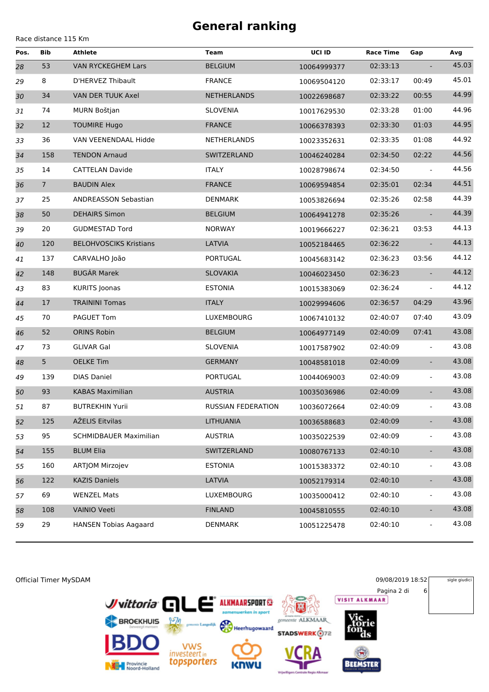Race distance 115 Km

| Pos. | Bib             | <b>Athlete</b>                | Team               | UCI ID      | <b>Race Time</b> | Gap                      | Avg   |
|------|-----------------|-------------------------------|--------------------|-------------|------------------|--------------------------|-------|
| 28   | 53              | <b>VAN RYCKEGHEM Lars</b>     | <b>BELGIUM</b>     | 10064999377 | 02:33:13         |                          | 45.03 |
| 29   | 8               | D'HERVEZ Thibault             | <b>FRANCE</b>      | 10069504120 | 02:33:17         | 00:49                    | 45.01 |
| 30   | 34              | VAN DER TUUK Axel             | <b>NETHERLANDS</b> | 10022698687 | 02:33:22         | 00:55                    | 44.99 |
| 31   | 74              | MURN Boštjan                  | <b>SLOVENIA</b>    | 10017629530 | 02:33:28         | 01:00                    | 44.96 |
| 32   | 12              | <b>TOUMIRE Hugo</b>           | <b>FRANCE</b>      | 10066378393 | 02:33:30         | 01:03                    | 44.95 |
| 33   | 36              | VAN VEENENDAAL Hidde          | NETHERLANDS        | 10023352631 | 02:33:35         | 01:08                    | 44.92 |
| 34   | 158             | <b>TENDON Arnaud</b>          | SWITZERLAND        | 10046240284 | 02:34:50         | 02:22                    | 44.56 |
| 35   | 14              | <b>CATTELAN Davide</b>        | <b>ITALY</b>       | 10028798674 | 02:34:50         |                          | 44.56 |
| 36   | $7\overline{ }$ | <b>BAUDIN Alex</b>            | <b>FRANCE</b>      | 10069594854 | 02:35:01         | 02:34                    | 44.51 |
| 37   | 25              | ANDREASSON Sebastian          | DENMARK            | 10053826694 | 02:35:26         | 02:58                    | 44.39 |
| 38   | 50              | <b>DEHAIRS Simon</b>          | <b>BELGIUM</b>     | 10064941278 | 02:35:26         |                          | 44.39 |
| 39   | 20              | <b>GUDMESTAD Tord</b>         | <b>NORWAY</b>      | 10019666227 | 02:36:21         | 03:53                    | 44.13 |
| 40   | 120             | <b>BELOHVOSCIKS Kristians</b> | LATVIA             | 10052184465 | 02:36:22         |                          | 44.13 |
| 41   | 137             | CARVALHO João                 | PORTUGAL           | 10045683142 | 02:36:23         | 03:56                    | 44.12 |
| 42   | 148             | <b>BUGÁR Marek</b>            | <b>SLOVAKIA</b>    | 10046023450 | 02:36:23         |                          | 44.12 |
| 43   | 83              | <b>KURITS Joonas</b>          | <b>ESTONIA</b>     | 10015383069 | 02:36:24         | $\blacksquare$           | 44.12 |
| 44   | 17              | <b>TRAININI Tomas</b>         | <b>ITALY</b>       | 10029994606 | 02:36:57         | 04:29                    | 43.96 |
| 45   | 70              | PAGUET Tom                    | LUXEMBOURG         | 10067410132 | 02:40:07         | 07:40                    | 43.09 |
| 46   | 52              | <b>ORINS Robin</b>            | <b>BELGIUM</b>     | 10064977149 | 02:40:09         | 07:41                    | 43.08 |
| 47   | 73              | <b>GLIVAR Gal</b>             | <b>SLOVENIA</b>    | 10017587902 | 02:40:09         |                          | 43.08 |
| 48   | 5 <sub>1</sub>  | <b>OELKE Tim</b>              | <b>GERMANY</b>     | 10048581018 | 02:40:09         | $\omega$                 | 43.08 |
| 49   | 139             | <b>DIAS Daniel</b>            | PORTUGAL           | 10044069003 | 02:40:09         | $\blacksquare$           | 43.08 |
| 50   | 93              | <b>KABAS Maximilian</b>       | <b>AUSTRIA</b>     | 10035036986 | 02:40:09         | $\omega$                 | 43.08 |
| 51   | 87              | <b>BUTREKHIN Yurii</b>        | RUSSIAN FEDERATION | 10036072664 | 02:40:09         | $\blacksquare$           | 43.08 |
| 52   | 125             | AŽELIS Eitvilas               | LITHUANIA          | 10036588683 | 02:40:09         | ÷.                       | 43.08 |
| 53   | 95              | <b>SCHMIDBAUER Maximilian</b> | <b>AUSTRIA</b>     | 10035022539 | 02:40:09         | $\overline{\phantom{0}}$ | 43.08 |
| 54   | 155             | <b>BLUM Elia</b>              | SWITZERLAND        | 10080767133 | 02:40:10         | $\blacksquare$           | 43.08 |
| 55   | 160             | ARTJOM Mirzojev               | <b>ESTONIA</b>     | 10015383372 | 02:40:10         | $\blacksquare$           | 43.08 |
| 56   | 122             | <b>KAZIS Daniels</b>          | LATVIA             | 10052179314 | 02:40:10         | ÷.                       | 43.08 |
| 57   | 69              | <b>WENZEL Mats</b>            | LUXEMBOURG         | 10035000412 | 02:40:10         | $\blacksquare$           | 43.08 |
| 58   | 108             | <b>VAINIO Veeti</b>           | <b>FINLAND</b>     | 10045810555 | 02:40:10         | $\blacksquare$           | 43.08 |
| 59   | 29              | <b>HANSEN Tobias Aagaard</b>  | DENMARK            | 10051225478 | 02:40:10         | $\overline{\phantom{0}}$ | 43.08 |

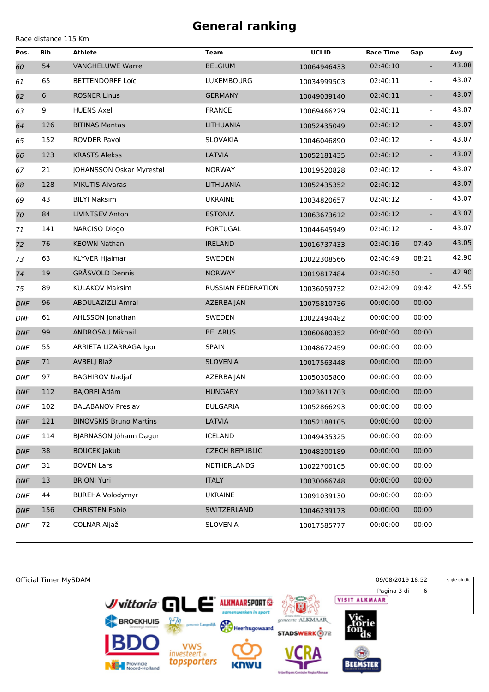|  | Race distance 115 Km |  |  |
|--|----------------------|--|--|
|--|----------------------|--|--|

| Pos.       | <b>Bib</b> | <b>Athlete</b>                 | <b>Team</b>           | UCI ID      | <b>Race Time</b> | Gap                      | Avg   |
|------------|------------|--------------------------------|-----------------------|-------------|------------------|--------------------------|-------|
| 60         | 54         | <b>VANGHELUWE Warre</b>        | <b>BELGIUM</b>        | 10064946433 | 02:40:10         | $\overline{\phantom{a}}$ | 43.08 |
| 61         | 65         | <b>BETTENDORFF Loïc</b>        | LUXEMBOURG            | 10034999503 | 02:40:11         | $\blacksquare$           | 43.07 |
| 62         | 6          | <b>ROSNER Linus</b>            | <b>GERMANY</b>        | 10049039140 | 02:40:11         | $\overline{\phantom{a}}$ | 43.07 |
| 63         | 9          | <b>HUENS Axel</b>              | <b>FRANCE</b>         | 10069466229 | 02:40:11         | ÷,                       | 43.07 |
| 64         | 126        | <b>BITINAS Mantas</b>          | LITHUANIA             | 10052435049 | 02:40:12         | $\overline{\phantom{a}}$ | 43.07 |
| 65         | 152        | <b>ROVDER Pavol</b>            | <b>SLOVAKIA</b>       | 10046046890 | 02:40:12         | $\blacksquare$           | 43.07 |
| 66         | 123        | <b>KRASTS Alekss</b>           | LATVIA                | 10052181435 | 02:40:12         | $\overline{\phantom{a}}$ | 43.07 |
| 67         | 21         | JOHANSSON Oskar Myrestøl       | <b>NORWAY</b>         | 10019520828 | 02:40:12         | $\blacksquare$           | 43.07 |
| 68         | 128        | <b>MIKUTIS Aivaras</b>         | LITHUANIA             | 10052435352 | 02:40:12         | $\overline{\phantom{a}}$ | 43.07 |
| 69         | 43         | <b>BILYI Maksim</b>            | <b>UKRAINE</b>        | 10034820657 | 02:40:12         | $\overline{\phantom{0}}$ | 43.07 |
| 70         | 84         | <b>LIVINTSEV Anton</b>         | <b>ESTONIA</b>        | 10063673612 | 02:40:12         | $\blacksquare$           | 43.07 |
| 71         | 141        | NARCISO Diogo                  | PORTUGAL              | 10044645949 | 02:40:12         | $\Box$                   | 43.07 |
| 72         | 76         | <b>KEOWN Nathan</b>            | <b>IRELAND</b>        | 10016737433 | 02:40:16         | 07:49                    | 43.05 |
| 73         | 63         | KLYVER Hjalmar                 | SWEDEN                | 10022308566 | 02:40:49         | 08:21                    | 42.90 |
| 74         | 19         | <b>GRÅSVOLD Dennis</b>         | <b>NORWAY</b>         | 10019817484 | 02:40:50         |                          | 42.90 |
| 75         | 89         | <b>KULAKOV Maksim</b>          | RUSSIAN FEDERATION    | 10036059732 | 02:42:09         | 09:42                    | 42.55 |
| <b>DNF</b> | 96         | ABDULAZIZLI Amral              | AZERBAIJAN            | 10075810736 | 00:00:00         | 00:00                    |       |
| <b>DNF</b> | 61         | AHLSSON Jonathan               | SWEDEN                | 10022494482 | 00:00:00         | 00:00                    |       |
| <b>DNF</b> | 99         | <b>ANDROSAU Mikhail</b>        | <b>BELARUS</b>        | 10060680352 | 00:00:00         | 00:00                    |       |
| <b>DNF</b> | 55         | ARRIETA LIZARRAGA Igor         | <b>SPAIN</b>          | 10048672459 | 00:00:00         | 00:00                    |       |
| <b>DNF</b> | 71         | AVBELJ Blaž                    | <b>SLOVENIA</b>       | 10017563448 | 00:00:00         | 00:00                    |       |
| <b>DNF</b> | 97         | <b>BAGHIROV Nadjaf</b>         | AZERBAIJAN            | 10050305800 | 00:00:00         | 00:00                    |       |
| <b>DNF</b> | 112        | BAJORFI Ádám                   | <b>HUNGARY</b>        | 10023611703 | 00:00:00         | 00:00                    |       |
| <b>DNF</b> | 102        | <b>BALABANOV Preslav</b>       | <b>BULGARIA</b>       | 10052866293 | 00:00:00         | 00:00                    |       |
| <b>DNF</b> | 121        | <b>BINOVSKIS Bruno Martins</b> | LATVIA                | 10052188105 | 00:00:00         | 00:00                    |       |
| <b>DNF</b> | 114        | BJARNASON Jóhann Dagur         | <b>ICELAND</b>        | 10049435325 | 00:00:00         | 00:00                    |       |
| <b>DNF</b> | 38         | <b>BOUCEK Jakub</b>            | <b>CZECH REPUBLIC</b> | 10048200189 | 00:00:00         | 00:00                    |       |
| <b>DNF</b> | 31         | <b>BOVEN Lars</b>              | NETHERLANDS           | 10022700105 | 00:00:00         | 00:00                    |       |
| <b>DNF</b> | 13         | <b>BRIONI Yuri</b>             | <b>ITALY</b>          | 10030066748 | 00:00:00         | 00:00                    |       |
| <b>DNF</b> | 44         | <b>BUREHA Volodymyr</b>        | <b>UKRAINE</b>        | 10091039130 | 00:00:00         | 00:00                    |       |
| <b>DNF</b> | 156        | <b>CHRISTEN Fabio</b>          | SWITZERLAND           | 10046239173 | 00:00:00         | 00:00                    |       |
| <b>DNF</b> | 72         | COLNAR Aljaž                   | <b>SLOVENIA</b>       | 10017585777 | 00:00:00         | 00:00                    |       |

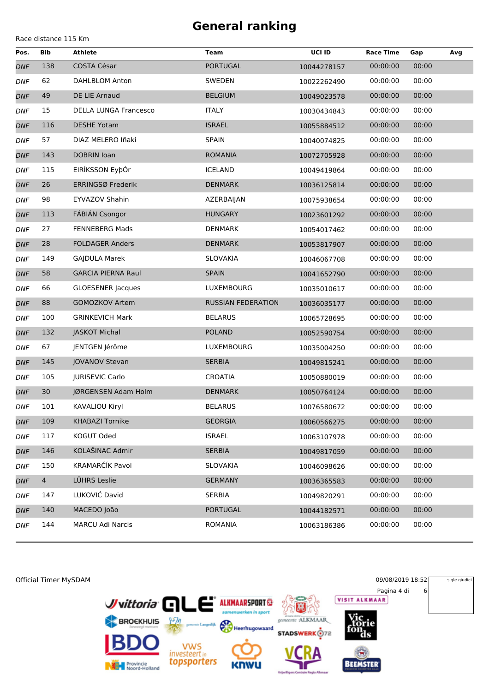Race distance 115 Km

**Pos. Bib Athlete Team UCI ID Race Time Gap Avg** *DNF* 138 COSTA César PORTUGAL 10044278157 00:00:00 00:00 *DNF* 62 DAHLBLOM Anton SWEDEN 10022262490 00:00:00 00:00 *DNF* 49 DE LIE Arnaud BELGIUM 10049023578 00:00:00 00:00 *DNF* 15 DELLA LUNGA Francesco ITALY 10030434843 00:00:00 00:00 *DNF* 116 DESHE Yotam ISRAEL 10055884512 00:00:00 00:00 *DNF* 57 DIAZ MELERO Iñaki SPAIN 10040074825 00:00:00 00:00 *DNF* 143 DOBRIN Ioan ROMANIA 10072705928 00:00:00 00:00 *DNF* 115 EIRÍKSSON EyþÓr ICELAND 10049419864 00:00:00 00:00 *DNF* 26 ERRINGSØ Frederik DENMARK 10036125814 00:00:00 00:00 *DNF* 98 EYVAZOV Shahin AZERBAIJAN 10075938654 00:00:00 00:00 *DNF* 113 FÁBIÁN Csongor HUNGARY 10023601292 00:00:00 00:00 *DNF* 27 FENNEBERG Mads DENMARK 10054017462 00:00:00 00:00 *DNF* 28 FOLDAGER Anders DENMARK 10053817907 00:00:00 00:00 *DNF* 149 GAJDULA Marek SLOVAKIA 10046067708 00:00:00 00:00 *DNF* 58 GARCIA PIERNA Raul SPAIN 10041652790 00:00:00 00:00 *DNF* 66 GLOESENER Jacques LUXEMBOURG 10035010617 00:00:00 00:00 *DNF* 88 GOMOZKOV Artem RUSSIAN FEDERATION 10036035177 00:00:00 00:00 *DNF* 100 GRINKEVICH Mark BELARUS 10065728695 00:00:00 00:00 *DNF* 132 JASKOT Michal POLAND 10052590754 00:00:00 00:00 *DNF* 67 JENTGEN Jérôme LUXEMBOURG 10035004250 00:00:00 00:00 *DNF* 145 JOVANOV Stevan SERBIA 10049815241 00:00:00 00:00 *DNF* 105 JURISEVIC Carlo CROATIA 10050880019 00:00:00 00:00 *DNF* 30 JØRGENSEN Adam Holm DENMARK 10050764124 00:00:00 00:00 *DNF* 101 KAVALIOU Kiryl BELARUS 10076580672 00:00:00 00:00 *DNF* 109 KHABAZI Tornike GEORGIA 10060566275 00:00:00 00:00 *DNF* 117 KOGUT Oded ISRAEL 10063107978 00:00:00 00:00 *DNF* 146 KOLAŠINAC Admir SERBIA 10049817059 00:00:00 00:00 *DNF* 150 KRAMARČÍK Pavol SLOVAKIA 10046098626 00:00:00 00:00 *DNF* 4 LÜHRS Leslie GERMANY 10036365583 00:00:00 00:00 *DNF* 147 LUKOVIĆ David SERBIA 10049820291 00:00:00 00:00 *DNF* 140 MACEDO João PORTUGAL 10044182571 00:00:00 00:00 *DNF* 144 MARCU Adi Narcis ROMANIA 10063186386 00:00:00 00:00

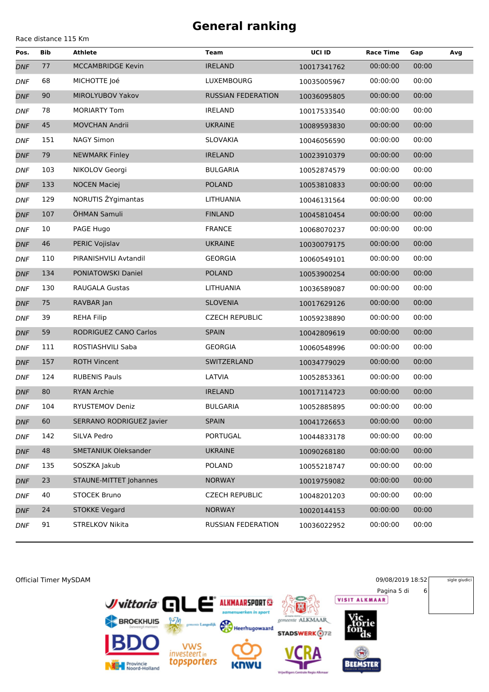| Race distance 115 Km |  |  |  |
|----------------------|--|--|--|
|----------------------|--|--|--|

| Pos.       | <b>Bib</b> | <b>Athlete</b>           | Team                      | UCI ID      | <b>Race Time</b> | Gap   | Avg |
|------------|------------|--------------------------|---------------------------|-------------|------------------|-------|-----|
| <b>DNF</b> | 77         | <b>MCCAMBRIDGE Kevin</b> | <b>IRELAND</b>            | 10017341762 | 00:00:00         | 00:00 |     |
| <b>DNF</b> | 68         | MICHOTTE Joé             | LUXEMBOURG                | 10035005967 | 00:00:00         | 00:00 |     |
| <b>DNF</b> | 90         | MIROLYUBOV Yakov         | <b>RUSSIAN FEDERATION</b> | 10036095805 | 00:00:00         | 00:00 |     |
| <b>DNF</b> | 78         | <b>MORIARTY Tom</b>      | <b>IRELAND</b>            | 10017533540 | 00:00:00         | 00:00 |     |
| <b>DNF</b> | 45         | <b>MOVCHAN Andrii</b>    | <b>UKRAINE</b>            | 10089593830 | 00:00:00         | 00:00 |     |
| <b>DNF</b> | 151        | <b>NAGY Simon</b>        | SLOVAKIA                  | 10046056590 | 00:00:00         | 00:00 |     |
| <b>DNF</b> | 79         | <b>NEWMARK Finley</b>    | <b>IRELAND</b>            | 10023910379 | 00:00:00         | 00:00 |     |
| <b>DNF</b> | 103        | NIKOLOV Georgi           | <b>BULGARIA</b>           | 10052874579 | 00:00:00         | 00:00 |     |
| <b>DNF</b> | 133        | <b>NOCEN Maciej</b>      | <b>POLAND</b>             | 10053810833 | 00:00:00         | 00:00 |     |
| <b>DNF</b> | 129        | NORUTIS ŽYgimantas       | LITHUANIA                 | 10046131564 | 00:00:00         | 00:00 |     |
| <b>DNF</b> | 107        | ÖHMAN Samuli             | <b>FINLAND</b>            | 10045810454 | 00:00:00         | 00:00 |     |
| <b>DNF</b> | 10         | PAGE Hugo                | <b>FRANCE</b>             | 10068070237 | 00:00:00         | 00:00 |     |
| <b>DNF</b> | 46         | PERIC Vojislav           | <b>UKRAINE</b>            | 10030079175 | 00:00:00         | 00:00 |     |
| <b>DNF</b> | 110        | PIRANISHVILI Avtandil    | <b>GEORGIA</b>            | 10060549101 | 00:00:00         | 00:00 |     |
| <b>DNF</b> | 134        | PONIATOWSKI Daniel       | <b>POLAND</b>             | 10053900254 | 00:00:00         | 00:00 |     |
| <b>DNF</b> | 130        | <b>RAUGALA Gustas</b>    | LITHUANIA                 | 10036589087 | 00:00:00         | 00:00 |     |
| <b>DNF</b> | 75         | RAVBAR Jan               | <b>SLOVENIA</b>           | 10017629126 | 00:00:00         | 00:00 |     |
| <b>DNF</b> | 39         | <b>REHA Filip</b>        | <b>CZECH REPUBLIC</b>     | 10059238890 | 00:00:00         | 00:00 |     |
| <b>DNF</b> | 59         | RODRIGUEZ CANO Carlos    | <b>SPAIN</b>              | 10042809619 | 00:00:00         | 00:00 |     |
| <b>DNF</b> | 111        | ROSTIASHVILI Saba        | <b>GEORGIA</b>            | 10060548996 | 00:00:00         | 00:00 |     |
| <b>DNF</b> | 157        | <b>ROTH Vincent</b>      | SWITZERLAND               | 10034779029 | 00:00:00         | 00:00 |     |
| <b>DNF</b> | 124        | <b>RUBENIS Pauls</b>     | LATVIA                    | 10052853361 | 00:00:00         | 00:00 |     |
| <b>DNF</b> | 80         | <b>RYAN Archie</b>       | <b>IRELAND</b>            | 10017114723 | 00:00:00         | 00:00 |     |
| <b>DNF</b> | 104        | RYUSTEMOV Deniz          | <b>BULGARIA</b>           | 10052885895 | 00:00:00         | 00:00 |     |
| <b>DNF</b> | 60         | SERRANO RODRIGUEZ Javier | <b>SPAIN</b>              | 10041726653 | 00:00:00         | 00:00 |     |
| <b>DNF</b> | 142        | SILVA Pedro              | PORTUGAL                  | 10044833178 | 00:00:00         | 00:00 |     |
| <b>DNF</b> | 48         | SMETANIUK Oleksander     | <b>UKRAINE</b>            | 10090268180 | 00:00:00         | 00:00 |     |
| <b>DNF</b> | 135        | SOSZKA Jakub             | <b>POLAND</b>             | 10055218747 | 00:00:00         | 00:00 |     |
| <b>DNF</b> | 23         | STAUNE-MITTET Johannes   | <b>NORWAY</b>             | 10019759082 | 00:00:00         | 00:00 |     |
| <b>DNF</b> | 40         | <b>STOCEK Bruno</b>      | <b>CZECH REPUBLIC</b>     | 10048201203 | 00:00:00         | 00:00 |     |
| <b>DNF</b> | 24         | <b>STOKKE Vegard</b>     | <b>NORWAY</b>             | 10020144153 | 00:00:00         | 00:00 |     |
| <b>DNF</b> | 91         | STRELKOV Nikita          | RUSSIAN FEDERATION        | 10036022952 | 00:00:00         | 00:00 |     |